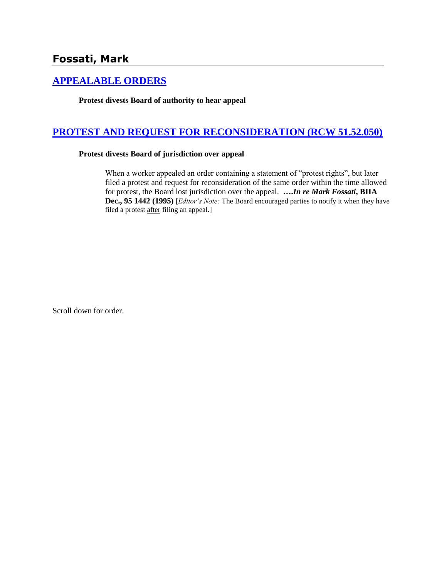## **[APPEALABLE ORDERS](http://www.biia.wa.gov/SDSubjectIndex.html#APPEALABLE_ORDERS)**

**Protest divests Board of authority to hear appeal**

## **[PROTEST AND REQUEST FOR RECONSIDERATION \(RCW 51.52.050\)](http://www.biia.wa.gov/SDSubjectIndex.html#PROTEST_AND_REQUEST_FOR_RECONSIDERATION)**

## **Protest divests Board of jurisdiction over appeal**

When a worker appealed an order containing a statement of "protest rights", but later filed a protest and request for reconsideration of the same order within the time allowed for protest, the Board lost jurisdiction over the appeal. **….***In re Mark Fossati***, BIIA Dec., 95 1442 (1995)** [*Editor's Note:* The Board encouraged parties to notify it when they have filed a protest after filing an appeal.]

Scroll down for order.